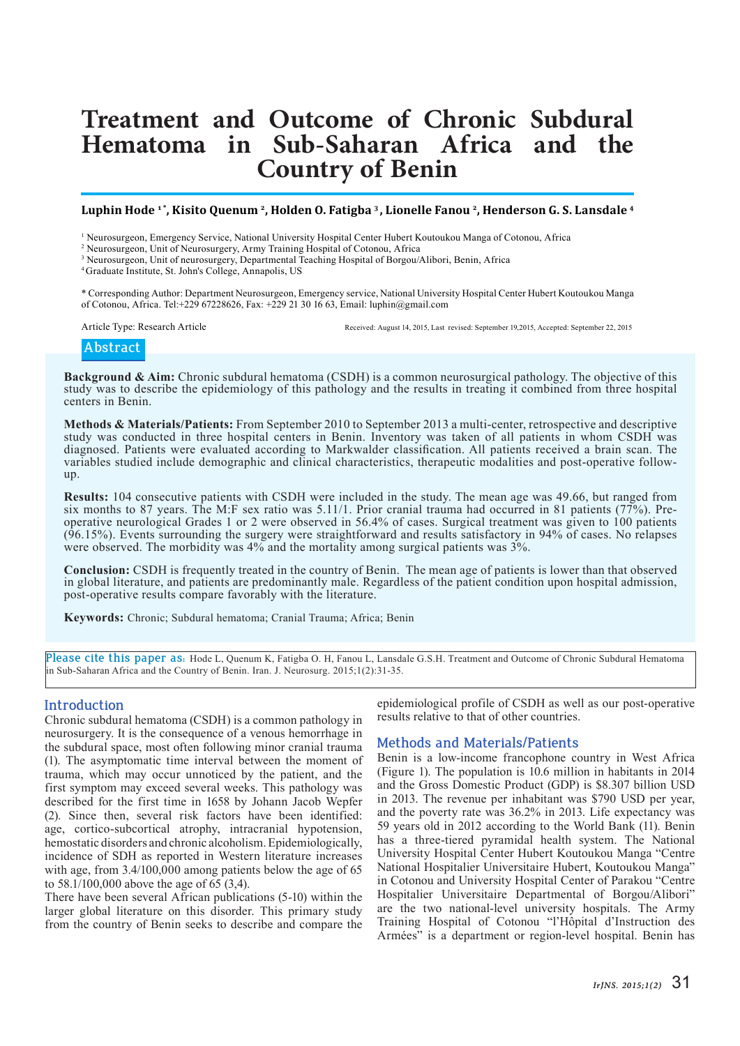# **Treatment and Outcome of Chronic Subdural Hematoma in Sub-Saharan Africa and the Country of Benin**

# **Luphin Hode 1 \*, Kisito Quenum <sup>2</sup>, Holden O. Fatigba <sup>3</sup>, Lionelle Fanou <sup>2</sup>, Henderson G. S. Lansdale <sup>4</sup>**

1 Neurosurgeon, Emergency Service, National University Hospital Center Hubert Koutoukou Manga of Cotonou, Africa

2 Neurosurgeon, Unit of Neurosurgery, Army Training Hospital of Cotonou, Africa

3 Neurosurgeon, Unit of neurosurgery, Departmental Teaching Hospital of Borgou/Alibori, Benin, Africa

<sup>4</sup>Graduate Institute, St. John's College, Annapolis, US

\* Corresponding Author: Department Neurosurgeon, Emergency service, National University Hospital Center Hubert Koutoukou Manga of Cotonou, Africa. Tel:+229 67228626, Fax: +229 21 30 16 63, Email: luphin@gmail.com

Article Type: Research Article Received: August 14, 2015, Last revised: September 19, 2015, Accepted: September 22, 2015

# **Abstract**

**Background & Aim:** Chronic subdural hematoma (CSDH) is a common neurosurgical pathology. The objective of this study was to describe the epidemiology of this pathology and the results in treating it combined from three hospital centers in Benin.

**Methods & Materials/Patients:** From September 2010 to September 2013 a multi-center, retrospective and descriptive study was conducted in three hospital centers in Benin. Inventory was taken of all patients in whom CSDH was diagnosed. Patients were evaluated according to Markwalder classification. All patients received a brain scan. The variables studied include demographic and clinical characteristics, therapeutic modalities and post-operative followup.

**Results:** 104 consecutive patients with CSDH were included in the study. The mean age was 49.66, but ranged from six months to 87 years. The M:F sex ratio was 5.11/1. Prior cranial trauma had occurred in 81 patients (77%). Preoperative neurological Grades 1 or 2 were observed in 56.4% of cases. Surgical treatment was given to 100 patients (96.15%). Events surrounding the surgery were straightforward and results satisfactory in 94% of cases. No relapses were observed. The morbidity was 4% and the mortality among surgical patients was 3%.

**Conclusion:** CSDH is frequently treated in the country of Benin. The mean age of patients is lower than that observed in global literature, and patients are predominantly male. Regardless of the patient condition upon hospital admission, post-operative results compare favorably with the literature.

**Keywords:** Chronic; Subdural hematoma; Cranial Trauma; Africa; Benin

**Please cite this paper as:** Hode L, Quenum K, Fatigba O. H, Fanou L, Lansdale G.S.H. Treatment and Outcome of Chronic Subdural Hematoma in Sub-Saharan Africa and the Country of Benin. Iran. J. Neurosurg. 2015;1(2):31-35.

#### **Introduction**

Chronic subdural hematoma (CSDH) is a common pathology in neurosurgery. It is the consequence of a venous hemorrhage in the subdural space, most often following minor cranial trauma (1). The asymptomatic time interval between the moment of trauma, which may occur unnoticed by the patient, and the first symptom may exceed several weeks. This pathology was described for the first time in 1658 by Johann Jacob Wepfer (2). Since then, several risk factors have been identified: age, cortico-subcortical atrophy, intracranial hypotension, hemostatic disorders and chronic alcoholism. Epidemiologically, incidence of SDH as reported in Western literature increases with age, from 3.4/100,000 among patients below the age of 65 to 58.1/100,000 above the age of  $\overline{65}$  (3,4).

There have been several African publications (5-10) within the larger global literature on this disorder. This primary study from the country of Benin seeks to describe and compare the

epidemiological profile of CSDH as well as our post-operative results relative to that of other countries.

# **Methods and Materials/Patients**

Benin is a low-income francophone country in West Africa (Figure 1). The population is 10.6 million in habitants in 2014 and the Gross Domestic Product (GDP) is \$8.307 billion USD in 2013. The revenue per inhabitant was \$790 USD per year, and the poverty rate was 36.2% in 2013. Life expectancy was 59 years old in 2012 according to the World Bank (11). Benin has a three-tiered pyramidal health system. The National University Hospital Center Hubert Koutoukou Manga "Centre National Hospitalier Universitaire Hubert, Koutoukou Manga" in Cotonou and University Hospital Center of Parakou "Centre Hospitalier Universitaire Departmental of Borgou/Alibori" are the two national-level university hospitals. The Army Training Hospital of Cotonou "l'Hôpital d'Instruction des Armées" is a department or region-level hospital. Benin has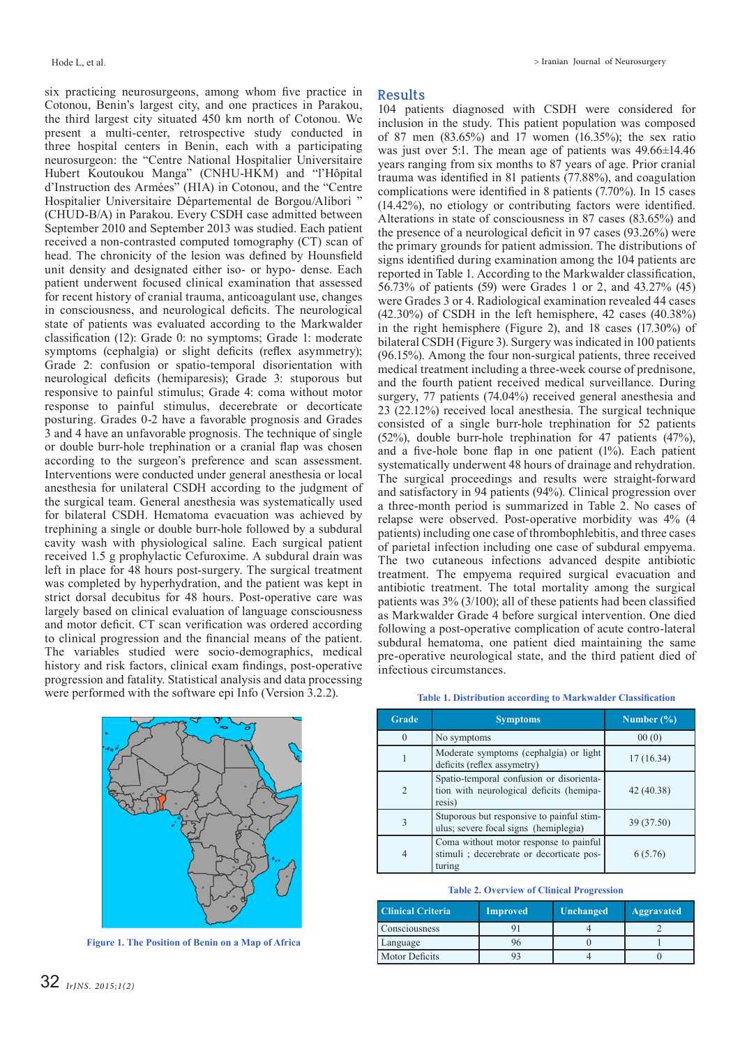six practicing neurosurgeons, among whom five practice in Cotonou, Benin's largest city, and one practices in Parakou, the third largest city situated 450 km north of Cotonou. We present a multi-center, retrospective study conducted in three hospital centers in Benin, each with a participating neurosurgeon: the "Centre National Hospitalier Universitaire Hubert Koutoukou Manga" (CNHU-HKM) and "l'Hôpital d'Instruction des Armées" (HIA) in Cotonou, and the "Centre Hospitalier Universitaire Départemental de Borgou/Alibori " (CHUD-B/A) in Parakou. Every CSDH case admitted between September 2010 and September 2013 was studied. Each patient received a non-contrasted computed tomography (CT) scan of head. The chronicity of the lesion was defined by Hounsfield unit density and designated either iso- or hypo- dense. Each patient underwent focused clinical examination that assessed for recent history of cranial trauma, anticoagulant use, changes in consciousness, and neurological deficits. The neurological state of patients was evaluated according to the Markwalder classification (12): Grade 0: no symptoms; Grade 1: moderate symptoms (cephalgia) or slight deficits (reflex asymmetry); Grade 2: confusion or spatio-temporal disorientation with neurological deficits (hemiparesis); Grade 3: stuporous but responsive to painful stimulus; Grade 4: coma without motor response to painful stimulus, decerebrate or decorticate posturing. Grades 0-2 have a favorable prognosis and Grades 3 and 4 have an unfavorable prognosis. The technique of single or double burr-hole trephination or a cranial flap was chosen according to the surgeon's preference and scan assessment. Interventions were conducted under general anesthesia or local anesthesia for unilateral CSDH according to the judgment of the surgical team. General anesthesia was systematically used for bilateral CSDH. Hematoma evacuation was achieved by trephining a single or double burr-hole followed by a subdural cavity wash with physiological saline. Each surgical patient received 1.5 g prophylactic Cefuroxime. A subdural drain was left in place for 48 hours post-surgery. The surgical treatment was completed by hyperhydration, and the patient was kept in strict dorsal decubitus for 48 hours. Post-operative care was largely based on clinical evaluation of language consciousness and motor deficit. CT scan verification was ordered according to clinical progression and the financial means of the patient. The variables studied were socio-demographics, medical history and risk factors, clinical exam findings, post-operative progression and fatality. Statistical analysis and data processing were performed with the software epi Info (Version 3.2.2).



**Figure 1. The Position of Benin on a Map of Africa**

### **Results**

104 patients diagnosed with CSDH were considered for inclusion in the study. This patient population was composed of 87 men (83.65%) and 17 women (16.35%); the sex ratio was just over 5:1. The mean age of patients was  $49.66 \pm 14.46$ years ranging from six months to 87 years of age. Prior cranial trauma was identified in 81 patients (77.88%), and coagulation complications were identified in 8 patients (7.70%). In 15 cases (14.42%), no etiology or contributing factors were identified. Alterations in state of consciousness in 87 cases (83.65%) and the presence of a neurological deficit in 97 cases (93.26%) were the primary grounds for patient admission. The distributions of signs identified during examination among the 104 patients are reported in Table 1. According to the Markwalder classification, 56.73% of patients (59) were Grades 1 or 2, and 43.27% (45) were Grades 3 or 4. Radiological examination revealed 44 cases (42.30%) of CSDH in the left hemisphere, 42 cases (40.38%) in the right hemisphere (Figure 2), and 18 cases (17.30%) of bilateral CSDH (Figure 3). Surgery was indicated in 100 patients (96.15%). Among the four non-surgical patients, three received medical treatment including a three-week course of prednisone, and the fourth patient received medical surveillance. During surgery, 77 patients (74.04%) received general anesthesia and 23 (22.12%) received local anesthesia. The surgical technique consisted of a single burr-hole trephination for 52 patients (52%), double burr-hole trephination for 47 patients (47%), and a five-hole bone flap in one patient (1%). Each patient systematically underwent 48 hours of drainage and rehydration. The surgical proceedings and results were straight-forward and satisfactory in 94 patients (94%). Clinical progression over a three-month period is summarized in Table 2. No cases of relapse were observed. Post-operative morbidity was 4% (4 patients) including one case of thrombophlebitis, and three cases of parietal infection including one case of subdural empyema. The two cutaneous infections advanced despite antibiotic treatment. The empyema required surgical evacuation and antibiotic treatment. The total mortality among the surgical patients was 3% (3/100); all of these patients had been classified as Markwalder Grade 4 before surgical intervention. One died following a post-operative complication of acute contro-lateral subdural hematoma, one patient died maintaining the same pre-operative neurological state, and the third patient died of infectious circumstances.

| <b>Grade</b>   | <b>Symptoms</b>                                                                                | Number $(\% )$ |  |
|----------------|------------------------------------------------------------------------------------------------|----------------|--|
|                | No symptoms                                                                                    | 00(0)          |  |
|                | Moderate symptoms (cephalgia) or light<br>deficits (reflex assymetry)                          | 17(16.34)      |  |
| $\mathfrak{D}$ | Spatio-temporal confusion or disorienta-<br>tion with neurological deficits (hemipa-<br>resis) | 42 (40.38)     |  |
| 3              | Stuporous but responsive to painful stim-<br>ulus; severe focal signs (hemiplegia)             | 39 (37.50)     |  |
| 4              | Coma without motor response to painful<br>stimuli; decerebrate or decorticate pos-<br>turing   | 6(5.76)        |  |

**Table 1. Distribution according to Markwalder Classification**

#### **Table 2. Overview of Clinical Progression**

| <b>Clinical Criteria</b> | <b>Improved</b> | Unchanged | Aggravated |  |
|--------------------------|-----------------|-----------|------------|--|
| Consciousness            |                 |           |            |  |
| Language                 | 96              |           |            |  |
| <b>Motor Deficits</b>    |                 |           |            |  |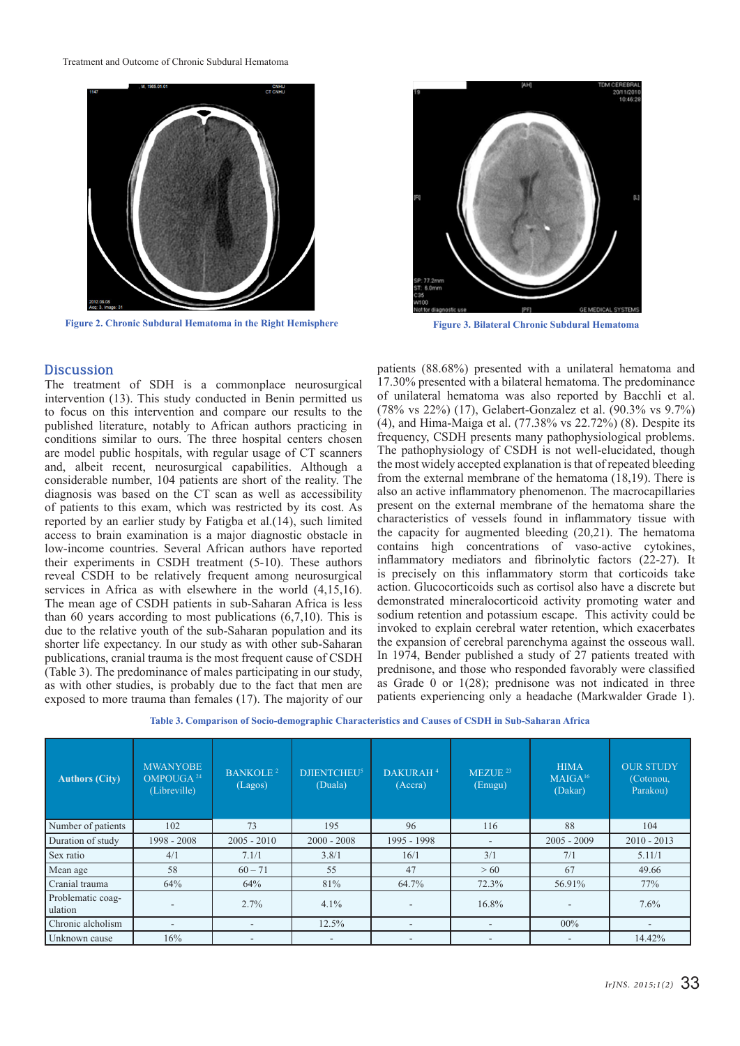

**Figure 2. Chronic Subdural Hematoma in the Right Hemisphere Figure 3. Bilateral Chronic Subdural Hematoma**



#### **Discussion**

The treatment of SDH is a commonplace neurosurgical intervention (13). This study conducted in Benin permitted us to focus on this intervention and compare our results to the published literature, notably to African authors practicing in conditions similar to ours. The three hospital centers chosen are model public hospitals, with regular usage of CT scanners and, albeit recent, neurosurgical capabilities. Although a considerable number, 104 patients are short of the reality. The diagnosis was based on the CT scan as well as accessibility of patients to this exam, which was restricted by its cost. As reported by an earlier study by Fatigba et al.(14), such limited access to brain examination is a major diagnostic obstacle in low-income countries. Several African authors have reported their experiments in CSDH treatment (5-10). These authors reveal CSDH to be relatively frequent among neurosurgical services in Africa as with elsewhere in the world (4,15,16). The mean age of CSDH patients in sub-Saharan Africa is less than 60 years according to most publications (6,7,10). This is due to the relative youth of the sub-Saharan population and its shorter life expectancy. In our study as with other sub-Saharan publications, cranial trauma is the most frequent cause of CSDH (Table 3). The predominance of males participating in our study, as with other studies, is probably due to the fact that men are exposed to more trauma than females (17). The majority of our

patients (88.68%) presented with a unilateral hematoma and 17.30% presented with a bilateral hematoma. The predominance of unilateral hematoma was also reported by Bacchli et al. (78% vs 22%) (17), Gelabert-Gonzalez et al. (90.3% vs 9.7%) (4), and Hima-Maiga et al. (77.38% vs 22.72%) (8). Despite its frequency, CSDH presents many pathophysiological problems. The pathophysiology of CSDH is not well-elucidated, though the most widely accepted explanation is that of repeated bleeding from the external membrane of the hematoma (18,19). There is also an active inflammatory phenomenon. The macrocapillaries present on the external membrane of the hematoma share the characteristics of vessels found in inflammatory tissue with the capacity for augmented bleeding (20,21). The hematoma contains high concentrations of vaso-active cytokines, inflammatory mediators and fibrinolytic factors (22-27). It is precisely on this inflammatory storm that corticoids take action. Glucocorticoids such as cortisol also have a discrete but demonstrated mineralocorticoid activity promoting water and sodium retention and potassium escape. This activity could be invoked to explain cerebral water retention, which exacerbates the expansion of cerebral parenchyma against the osseous wall. In 1974, Bender published a study of 27 patients treated with prednisone, and those who responded favorably were classified as Grade 0 or 1(28); prednisone was not indicated in three patients experiencing only a headache (Markwalder Grade 1).

| Table 3. Comparison of Socio-demographic Characteristics and Causes of CSDH in Sub-Saharan Africa |  |
|---------------------------------------------------------------------------------------------------|--|
|---------------------------------------------------------------------------------------------------|--|

| <b>Authors (City)</b>        | <b>MWANYOBE</b><br>OMPOUGA <sup>24</sup><br>(Libreville) | <b>BANKOLE<sup>2</sup></b><br>(Lagos) | <b>DJIENTCHEU<sup>5</sup></b><br>(Duala) | DAKURAH <sup>4</sup><br>(Accra) | $MEZUE$ <sup>23</sup><br>(Enugu) | <b>HIMA</b><br>MAIGA <sup>16</sup><br>(Dakar) | <b>OUR STUDY</b><br>(Cotonou,<br>Parakou) |
|------------------------------|----------------------------------------------------------|---------------------------------------|------------------------------------------|---------------------------------|----------------------------------|-----------------------------------------------|-------------------------------------------|
| Number of patients           | 102                                                      | 73                                    | 195                                      | 96                              | 116                              | 88                                            | 104                                       |
| Duration of study            | $1998 - 2008$                                            | $2005 - 2010$                         | $2000 - 2008$                            | 1995 - 1998                     | $\overline{\phantom{a}}$         | $2005 - 2009$                                 | $2010 - 2013$                             |
| Sex ratio                    | 4/1                                                      | 7.1/1                                 | 3.8/1                                    | 16/1                            | 3/1                              | 7/1                                           | 5.11/1                                    |
| Mean age                     | 58                                                       | $60 - 71$                             | 55                                       | 47                              | >60                              | 67                                            | 49.66                                     |
| Cranial trauma               | 64%                                                      | 64%                                   | 81%                                      | 64.7%                           | 72.3%                            | 56.91%                                        | 77%                                       |
| Problematic coag-<br>ulation |                                                          | 2.7%                                  | 4.1%                                     | ۰                               | 16.8%                            |                                               | 7.6%                                      |
| Chronic alcholism            | -                                                        | $\overline{\phantom{a}}$              | 12.5%                                    | $\overline{\phantom{a}}$        |                                  | $00\%$                                        |                                           |
| Unknown cause                | 16%                                                      | -                                     |                                          | $\overline{\phantom{a}}$        |                                  |                                               | 14.42%                                    |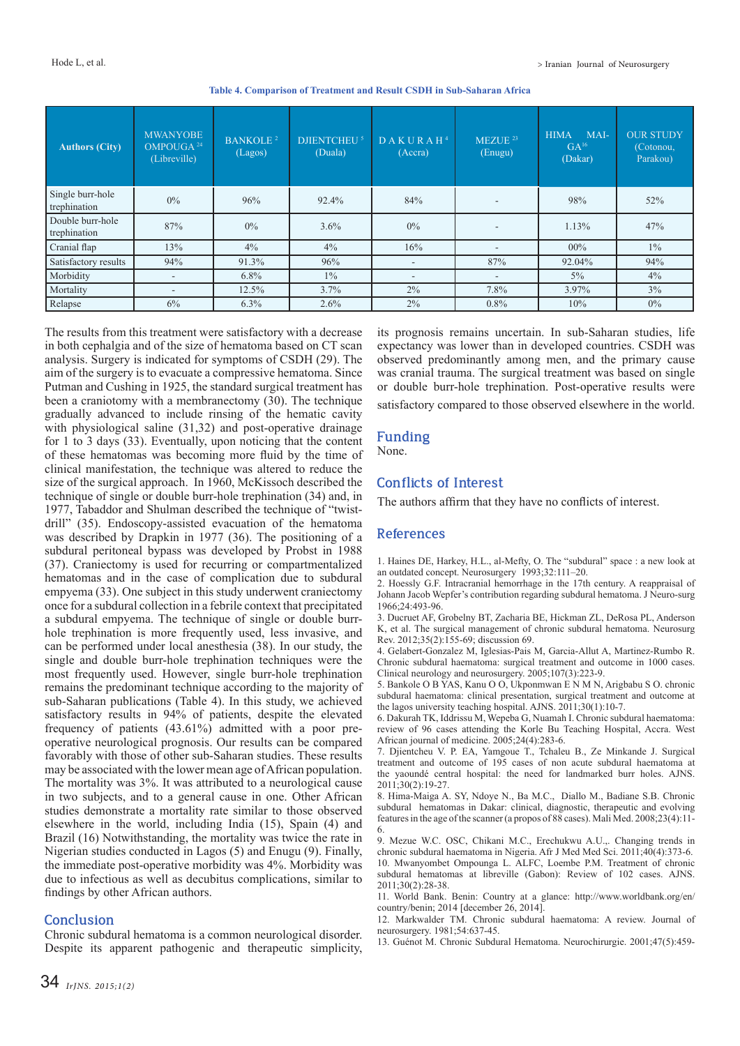| <b>Authors (City)</b>            | <b>MWANYOBE</b><br>OMPOUGA <sup>24</sup><br>(Libreville) | <b>BANKOLE<sup>2</sup></b><br>(Lagos) | <b>DJIENTCHEU<sup>5</sup></b><br>(Duala) | DAKURAH <sup>4</sup><br>(Accra) | MEZUE <sup>23</sup><br>(Enugu) | MAI-<br><b>HIMA</b><br>$GA^{16}$<br>(Dakar) | <b>OUR STUDY</b><br>(Cotonou,<br>Parakou) |
|----------------------------------|----------------------------------------------------------|---------------------------------------|------------------------------------------|---------------------------------|--------------------------------|---------------------------------------------|-------------------------------------------|
| Single burr-hole<br>trephination | $0\%$                                                    | 96%                                   | 92.4%                                    | 84%                             |                                | 98%                                         | 52%                                       |
| Double burr-hole<br>trephination | 87%                                                      | $0\%$                                 | $3.6\%$                                  | $0\%$                           |                                | 1.13%                                       | 47%                                       |
| Cranial flap                     | 13%                                                      | 4%                                    | $4\%$                                    | 16%                             | $\overline{\phantom{a}}$       | $00\%$                                      | $1\%$                                     |
| Satisfactory results             | 94%                                                      | 91.3%                                 | 96%                                      | $\overline{\phantom{a}}$        | 87%                            | 92.04%                                      | 94%                                       |
| Morbidity                        | $\overline{\phantom{a}}$                                 | $6.8\%$                               | $1\%$                                    | $\overline{\phantom{a}}$        | ٠                              | $5\%$                                       | 4%                                        |
| Mortality                        | $\sim$                                                   | 12.5%                                 | 3.7%                                     | $2\%$                           | 7.8%                           | 3.97%                                       | 3%                                        |
| Relapse                          | 6%                                                       | 6.3%                                  | $2.6\%$                                  | $2\%$                           | $0.8\%$                        | 10%                                         | $0\%$                                     |

**Table 4. Comparison of Treatment and Result CSDH in Sub-Saharan Africa**

The results from this treatment were satisfactory with a decrease in both cephalgia and of the size of hematoma based on CT scan analysis. Surgery is indicated for symptoms of CSDH (29). The aim of the surgery is to evacuate a compressive hematoma. Since Putman and Cushing in 1925, the standard surgical treatment has been a craniotomy with a membranectomy (30). The technique gradually advanced to include rinsing of the hematic cavity with physiological saline (31,32) and post-operative drainage for 1 to 3 days (33). Eventually, upon noticing that the content of these hematomas was becoming more fluid by the time of clinical manifestation, the technique was altered to reduce the size of the surgical approach. In 1960, McKissoch described the technique of single or double burr-hole trephination (34) and, in 1977, Tabaddor and Shulman described the technique of "twistdrill" (35). Endoscopy-assisted evacuation of the hematoma was described by Drapkin in 1977 (36). The positioning of a subdural peritoneal bypass was developed by Probst in 1988 (37). Craniectomy is used for recurring or compartmentalized hematomas and in the case of complication due to subdural empyema (33). One subject in this study underwent craniectomy once for a subdural collection in a febrile context that precipitated a subdural empyema. The technique of single or double burrhole trephination is more frequently used, less invasive, and can be performed under local anesthesia (38). In our study, the single and double burr-hole trephination techniques were the most frequently used. However, single burr-hole trephination remains the predominant technique according to the majority of sub-Saharan publications (Table 4). In this study, we achieved satisfactory results in 94% of patients, despite the elevated frequency of patients (43.61%) admitted with a poor preoperative neurological prognosis. Our results can be compared favorably with those of other sub-Saharan studies. These results may be associated with the lower mean age of African population. The mortality was 3%. It was attributed to a neurological cause in two subjects, and to a general cause in one. Other African studies demonstrate a mortality rate similar to those observed elsewhere in the world, including India (15), Spain (4) and Brazil (16) Notwithstanding, the mortality was twice the rate in Nigerian studies conducted in Lagos (5) and Enugu (9). Finally, the immediate post-operative morbidity was 4%. Morbidity was due to infectious as well as decubitus complications, similar to findings by other African authors.

# **Conclusion**

Chronic subdural hematoma is a common neurological disorder. Despite its apparent pathogenic and therapeutic simplicity, its prognosis remains uncertain. In sub-Saharan studies, life expectancy was lower than in developed countries. CSDH was observed predominantly among men, and the primary cause was cranial trauma. The surgical treatment was based on single or double burr-hole trephination. Post-operative results were satisfactory compared to those observed elsewhere in the world.

## **Funding**

None.

# **Conflicts of Interest**

The authors affirm that they have no conflicts of interest.

#### **References**

1. Haines DE, Harkey, H.L., al-Mefty, O. The "subdural" space : a new look at an outdated concept. Neurosurgery 1993;32:111–20.

2. Hoessly G.F. Intracranial hemorrhage in the 17th century. A reappraisal of Johann Jacob Wepfer's contribution regarding subdural hematoma. J Neuro-surg 1966;24:493-96.

3. Ducruet AF, Grobelny BT, Zacharia BE, Hickman ZL, DeRosa PL, Anderson K, et al. The surgical management of chronic subdural hematoma. Neurosurg Rev. 2012;35(2):155-69; discussion 69.

4. Gelabert-Gonzalez M, Iglesias-Pais M, Garcia-Allut A, Martinez-Rumbo R. Chronic subdural haematoma: surgical treatment and outcome in 1000 cases. Clinical neurology and neurosurgery. 2005;107(3):223-9.

5. Bankole O B YAS, Kanu O O, Ukponmwan E N M N, Arigbabu S O. chronic subdural haematoma: clinical presentation, surgical treatment and outcome at the lagos university teaching hospital. AJNS. 2011;30(1):10-7.

6. Dakurah TK, Iddrissu M, Wepeba G, Nuamah I. Chronic subdural haematoma: review of 96 cases attending the Korle Bu Teaching Hospital, Accra. West African journal of medicine. 2005;24(4):283-6.

7. Djientcheu V. P. EA, Yamgoue T., Tchaleu B., Ze Minkande J. Surgical treatment and outcome of 195 cases of non acute subdural haematoma at the yaoundé central hospital: the need for landmarked burr holes. AJNS. 2011;30(2):19-27.

8. Hima-Maiga A. SY, Ndoye N., Ba M.C., Diallo M., Badiane S.B. Chronic subdural hematomas in Dakar: clinical, diagnostic, therapeutic and evolving features in the age of the scanner (a propos of 88 cases). Mali Med. 2008;23(4):11- 6.

9. Mezue W.C. OSC, Chikani M.C., Erechukwu A.U.,. Changing trends in chronic subdural haematoma in Nigeria. Afr J Med Med Sci. 2011;40(4):373-6. 10. Mwanyombet Ompounga L. ALFC, Loembe P.M. Treatment of chronic subdural hematomas at libreville (Gabon): Review of 102 cases. AJNS.  $2011 \cdot 30(2) \cdot 28 - 38$ 

11. World Bank. Benin: Country at a glance: http://www.worldbank.org/en/ country/benin; 2014 [december 26, 2014].

12. Markwalder TM. Chronic subdural haematoma: A review. Journal of neurosurgery. 1981;54:637-45.

13. Guénot M. Chronic Subdural Hematoma. Neurochirurgie. 2001;47(5):459-